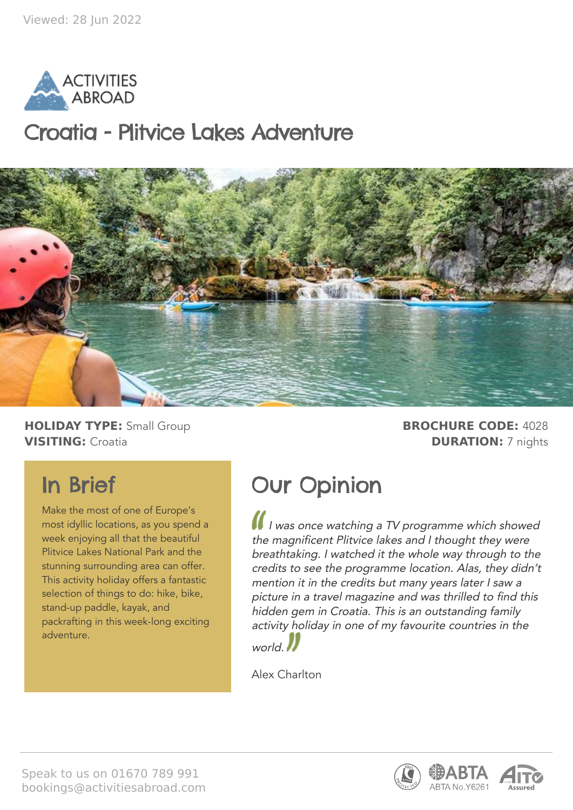

### Croatia - Plitvice Lakes Adventure



**HOLIDAY TYPE:** Small Group **BROCHURE CODE:** 4028 **VISITING:** Croatia **DURATION:** 7 nights

### In Brief

Make the most of one of Europe's most idyllic locations, as you spend a week enjoying all that the beautiful Plitvice Lakes National Park and the stunning surrounding area can offer. This activity holiday offers a fantastic selection of things to do: hike, bike, stand-up paddle, kayak, and packrafting in this week-long exciting adventure.

### Our Opinion

I was once watching a TV programme which showed the magnificent Plitvice lakes and I thought they were breathtaking. I watched it the whole way through to the credits to see the programme location. Alas, they didn't mention it in the credits but many years later I saw a picture in a travel magazine and was thrilled to find this hidden gem in Croatia. This is an outstanding family activity holiday in one of my favourite countries in the

world.

Alex Charlton

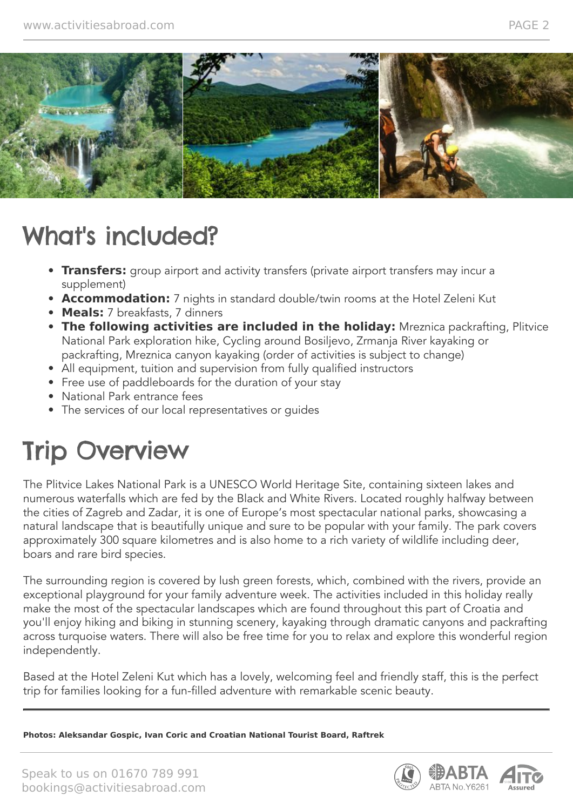

# What's included?

- **Transfers:** group airport and activity transfers (private airport transfers may incur a supplement)
- **Accommodation:** 7 nights in standard double/twin rooms at the Hotel Zeleni Kut
- **Meals:** 7 breakfasts, 7 dinners
- **The following activities are included in the holiday:** Mreznica packrafting, Plitvice National Park exploration hike, Cycling around Bosiljevo, Zrmanja River kayaking or packrafting, Mreznica canyon kayaking (order of activities is subject to change)
- All equipment, tuition and supervision from fully qualified instructors
- Free use of paddleboards for the duration of your stay
- National Park entrance fees
- The services of our local representatives or guides

# **Trip Overview**

The Plitvice Lakes National Park is a UNESCO World Heritage Site, containing sixteen lakes and numerous waterfalls which are fed by the Black and White Rivers. Located roughly halfway between the cities of Zagreb and Zadar, it is one of Europe's most spectacular national parks, showcasing a natural landscape that is beautifully unique and sure to be popular with your family. The park covers approximately 300 square kilometres and is also home to a rich variety of wildlife including deer, boars and rare bird species.

The surrounding region is covered by lush green forests, which, combined with the rivers, provide an exceptional playground for your family adventure week. The activities included in this holiday really make the most of the spectacular landscapes which are found throughout this part of Croatia and you'll enjoy hiking and biking in stunning scenery, kayaking through dramatic canyons and packrafting across turquoise waters. There will also be free time for you to relax and explore this wonderful region independently.

Based at the Hotel Zeleni Kut which has a lovely, welcoming feel and friendly staff, this is the perfect trip for families looking for a fun-filled adventure with remarkable scenic beauty.

**Photos: Aleksandar Gospic, Ivan Coric and Croatian National Tourist Board, Raftrek**

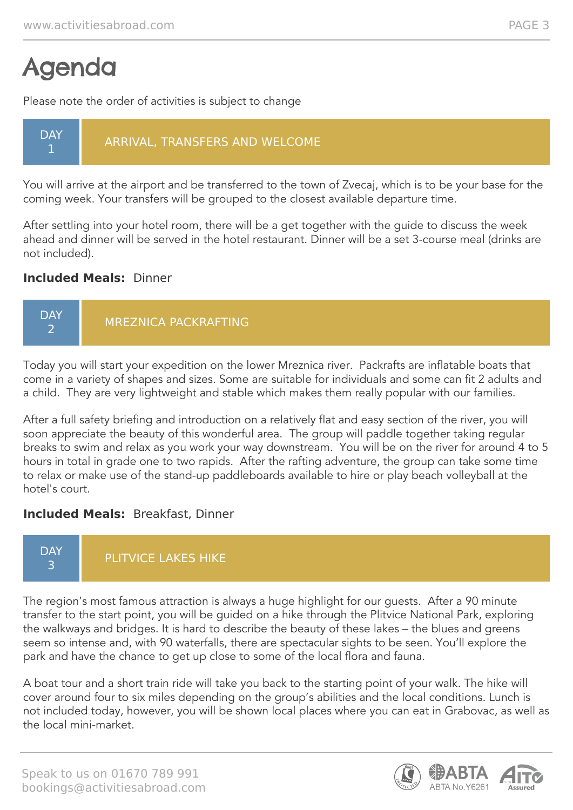# Agenda

Please note the order of activities is subject to change

#### **DAY** 1 ARRIVAL, TRANSFERS AND WELCOME

You will arrive at the airport and be transferred to the town of Zvecaj, which is to be your base for the coming week. Your transfers will be grouped to the closest available departure time.

After settling into your hotel room, there will be a get together with the guide to discuss the week ahead and dinner will be served in the hotel restaurant. Dinner will be a set 3-course meal (drinks are not included).

#### **Included Meals:** Dinner



Today you will start your expedition on the lower Mreznica river. Packrafts are inflatable boats that come in a variety of shapes and sizes. Some are suitable for individuals and some can fit 2 adults and a child. They are very lightweight and stable which makes them really popular with our families.

After a full safety briefing and introduction on a relatively flat and easy section of the river, you will soon appreciate the beauty of this wonderful area. The group will paddle together taking regular breaks to swim and relax as you work your way downstream. You will be on the river for around 4 to 5 hours in total in grade one to two rapids. After the rafting adventure, the group can take some time to relax or make use of the stand-up paddleboards available to hire or play beach volleyball at the hotel's court.

#### **Included Meals:** Breakfast, Dinner



The region's most famous attraction is always a huge highlight for our guests. After a 90 minute transfer to the start point, you will be guided on a hike through the Plitvice National Park, exploring the walkways and bridges. It is hard to describe the beauty of these lakes – the blues and greens seem so intense and, with 90 waterfalls, there are spectacular sights to be seen. You'll explore the park and have the chance to get up close to some of the local flora and fauna.

A boat tour and a short train ride will take you back to the starting point of your walk. The hike will cover around four to six miles depending on the group's abilities and the local conditions. Lunch is not included today, however, you will be shown local places where you can eat in Grabovac, as well as the local mini-market.

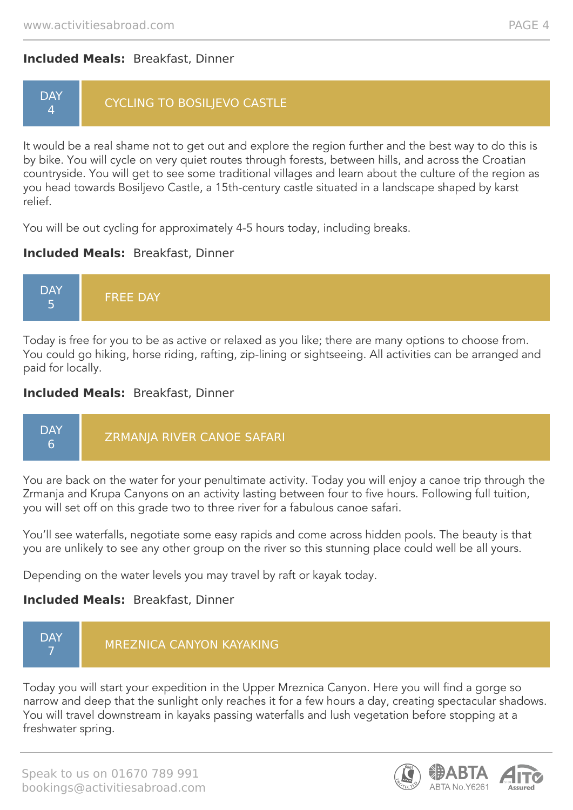#### **Included Meals:** Breakfast, Dinner

#### **DAY** 4 CYCLING TO BOSILJEVO CASTLE

It would be a real shame not to get out and explore the region further and the best way to do this is by bike. You will cycle on very quiet routes through forests, between hills, and across the Croatian countryside. You will get to see some traditional villages and learn about the culture of the region as you head towards Bosiljevo Castle, a 15th-century castle situated in a landscape shaped by karst relief.

You will be out cycling for approximately 4-5 hours today, including breaks.

#### **Included Meals:** Breakfast, Dinner



Today is free for you to be as active or relaxed as you like; there are many options to choose from. You could go hiking, horse riding, rafting, zip-lining or sightseeing. All activities can be arranged and paid for locally.

#### **Included Meals:** Breakfast, Dinner

| <b>DAY</b> |
|------------|
|------------|

You are back on the water for your penultimate activity. Today you will enjoy a canoe trip through the Zrmanja and Krupa Canyons on an activity lasting between four to five hours. Following full tuition, you will set off on this grade two to three river for a fabulous canoe safari.

You'll see waterfalls, negotiate some easy rapids and come across hidden pools. The beauty is that you are unlikely to see any other group on the river so this stunning place could well be all yours.

Depending on the water levels you may travel by raft or kayak today.

### **Included Meals:** Breakfast, Dinner



Today you will start your expedition in the Upper Mreznica Canyon. Here you will find a gorge so narrow and deep that the sunlight only reaches it for a few hours a day, creating spectacular shadows. You will travel downstream in kayaks passing waterfalls and lush vegetation before stopping at a freshwater spring.

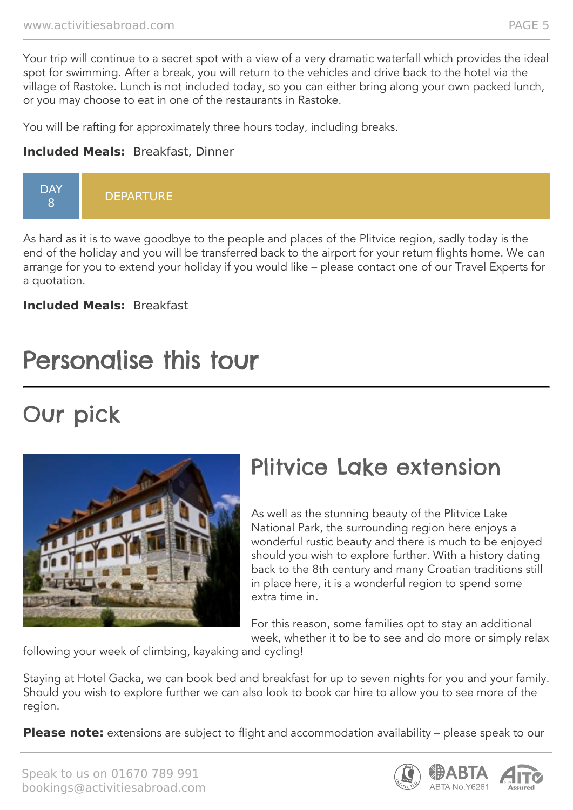Your trip will continue to a secret spot with a view of a very dramatic waterfall which provides the ideal spot for swimming. After a break, you will return to the vehicles and drive back to the hotel via the village of Rastoke. Lunch is not included today, so you can either bring along your own packed lunch, or you may choose to eat in one of the restaurants in Rastoke.

You will be rafting for approximately three hours today, including breaks.

#### **Included Meals:** Breakfast, Dinner



As hard as it is to wave goodbye to the people and places of the Plitvice region, sadly today is the end of the holiday and you will be transferred back to the airport for your return flights home. We can arrange for you to extend your holiday if you would like – please contact one of our Travel Experts for a quotation.

#### **Included Meals:** Breakfast

# Personalise this tour

### Our pick



## Plitvice Lake extension

As well as the stunning beauty of the Plitvice Lake National Park, the surrounding region here enjoys a wonderful rustic beauty and there is much to be enjoyed should you wish to explore further. With a history dating back to the 8th century and many Croatian traditions still in place here, it is a wonderful region to spend some extra time in.

For this reason, some families opt to stay an additional week, whether it to be to see and do more or simply relax

following your week of climbing, kayaking and cycling!

Staying at Hotel Gacka, we can book bed and breakfast for up to seven nights for you and your family. Should you wish to explore further we can also look to book car hire to allow you to see more of the region.

**Please note:** extensions are subject to flight and accommodation availability – please speak to our

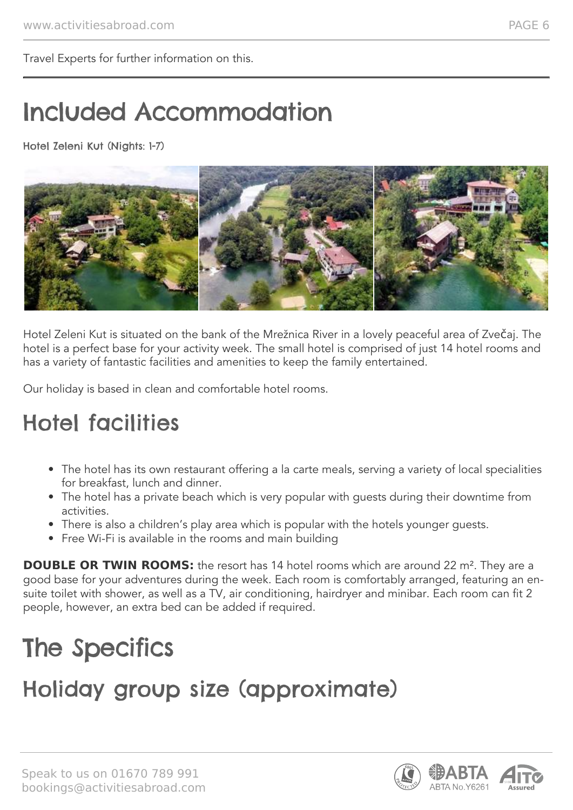Travel Experts for further information on this.

# Included Accommodation

Hotel Zeleni Kut (Nights: 1-7)



Hotel Zeleni Kut is situated on the bank of the Mrežnica River in a lovely peaceful area of Zvečaj. The hotel is a perfect base for your activity week. The small hotel is comprised of just 14 hotel rooms and has a variety of fantastic facilities and amenities to keep the family entertained.

Our holiday is based in clean and comfortable hotel rooms.

## Hotel facilities

- The hotel has its own restaurant offering a la carte meals, serving a variety of local specialities for breakfast, lunch and dinner.
- The hotel has a private beach which is very popular with guests during their downtime from activities.
- There is also a children's play area which is popular with the hotels younger guests.
- Free Wi-Fi is available in the rooms and main building

**DOUBLE OR TWIN ROOMS:** the resort has 14 hotel rooms which are around 22 m<sup>2</sup>. They are a good base for your adventures during the week. Each room is comfortably arranged, featuring an ensuite toilet with shower, as well as a TV, air conditioning, hairdryer and minibar. Each room can fit 2 people, however, an extra bed can be added if required.

# The Specifics

# Holiday group size (approximate)

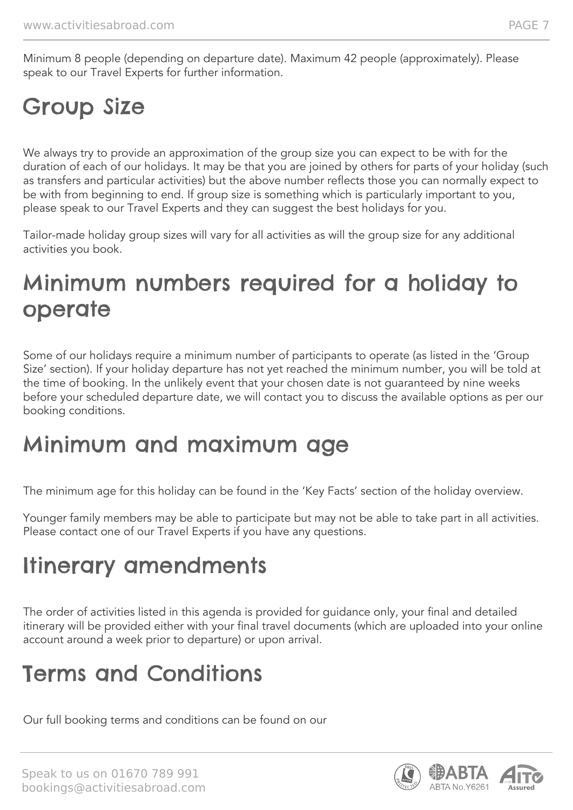Minimum 8 people (depending on departure date). Maximum 42 people (approximately). Please speak to our Travel Experts for further information.

# Group Size

We always try to provide an approximation of the group size you can expect to be with for the duration of each of our holidays. It may be that you are joined by others for parts of your holiday (such as transfers and particular activities) but the above number reflects those you can normally expect to be with from beginning to end. If group size is something which is particularly important to you, please speak to our Travel Experts and they can suggest the best holidays for you.

Tailor-made holiday group sizes will vary for all activities as will the group size for any additional activities you book.

### Minimum numbers required for a holiday to operate

Some of our holidays require a minimum number of participants to operate (as listed in the 'Group Size' section). If your holiday departure has not yet reached the minimum number, you will be told at the time of booking. In the unlikely event that your chosen date is not guaranteed by nine weeks before your scheduled departure date, we will contact you to discuss the available options as per our booking conditions.

### Minimum and maximum age

The minimum age for this holiday can be found in the 'Key Facts' section of the holiday overview.

Younger family members may be able to participate but may not be able to take part in all activities. Please contact one of our Travel Experts if you have any questions.

### Itinerary amendments

The order of activities listed in this agenda is provided for guidance only, your final and detailed itinerary will be provided either with your final travel documents (which are uploaded into your online account around a week prior to departure) or upon arrival.

# Terms and Conditions

Our full booking terms and conditions can be found on our